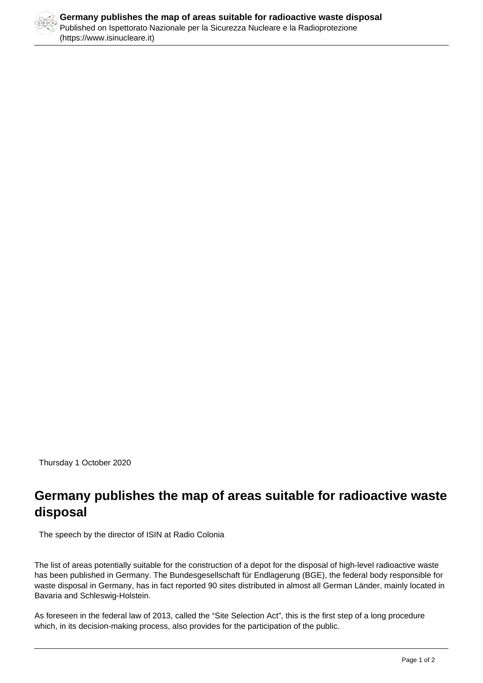

Thursday 1 October 2020

## **Germany publishes the map of areas suitable for radioactive waste disposal**

The speech by the director of ISIN at Radio Colonia

The list of areas potentially suitable for the construction of a depot for the disposal of high-level radioactive waste has been published in Germany. The Bundesgesellschaft für Endlagerung (BGE), the federal body responsible for waste disposal in Germany, has in fact reported 90 sites distributed in almost all German Länder, mainly located in Bavaria and Schleswig-Holstein.

As foreseen in the federal law of 2013, called the "Site Selection Act", this is the first step of a long procedure which, in its decision-making process, also provides for the participation of the public.